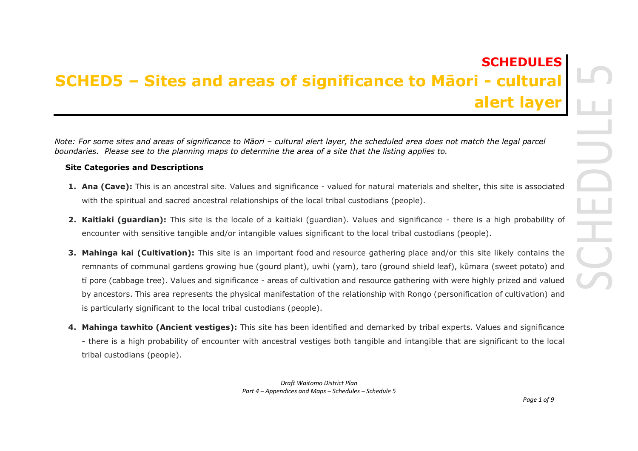## **SCHEDULES SCHED5 – Sites and areas of significance to Māori - cultural alert layer**

*Note: For some sites and areas of significance to Māori – cultural alert layer, the scheduled area does not match the legal parcel boundaries. Please see to the planning maps to determine the area of a site that the listing applies to.* 

## **Site Categories and Descriptions**

- **1. Ana (Cave):** This is an ancestral site. Values and significance valued for natural materials and shelter, this site is associated with the spiritual and sacred ancestral relationships of the local tribal custodians (people).
- **2. Kaitiaki (guardian):** This site is the locale of a kaitiaki (guardian). Values and significance there is a high probability of encounter with sensitive tangible and/or intangible values significant to the local tribal custodians (people).
- **3. Mahinga kai (Cultivation):** This site is an important food and resource gathering place and/or this site likely contains the remnants of communal gardens growing hue (gourd plant), uwhi (yam), taro (ground shield leaf), kūmara (sweet potato) and tī pore (cabbage tree). Values and significance - areas of cultivation and resource gathering with were highly prized and valued by ancestors. This area represents the physical manifestation of the relationship with Rongo (personification of cultivation) and is particularly significant to the local tribal custodians (people).
- **4. Mahinga tawhito (Ancient vestiges):** This site has been identified and demarked by tribal experts. Values and significance - there is a high probability of encounter with ancestral vestiges both tangible and intangible that are significant to the local tribal custodians (people).

*Draft Waitomo District Plan Part 4 – Appendices and Maps – Schedules – Schedule 5*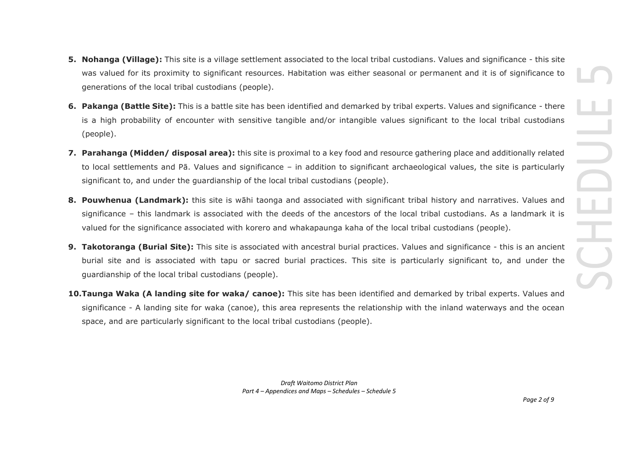- **5. Nohanga (Village):** This site is a village settlement associated to the local tribal custodians. Values and significance this site was valued for its proximity to significant resources. Habitation was either seasonal or permanent and it is of significance to generations of the local tribal custodians (people).
- **6. Pakanga (Battle Site):** This is a battle site has been identified and demarked by tribal experts. Values and significance there is a high probability of encounter with sensitive tangible and/or intangible values significant to the local tribal custodians (people).
- **7. Parahanga (Midden/ disposal area):** this site is proximal to a key food and resource gathering place and additionally related to local settlements and Pā. Values and significance – in addition to significant archaeological values, the site is particularly significant to, and under the guardianship of the local tribal custodians (people).
- **8. Pouwhenua (Landmark):** this site is wāhi taonga and associated with significant tribal history and narratives. Values and significance – this landmark is associated with the deeds of the ancestors of the local tribal custodians. As a landmark it is valued for the significance associated with korero and whakapaunga kaha of the local tribal custodians (people).
- **9. Takotoranga (Burial Site):** This site is associated with ancestral burial practices. Values and significance this is an ancient burial site and is associated with tapu or sacred burial practices. This site is particularly significant to, and under the guardianship of the local tribal custodians (people).
- **10.Taunga Waka (A landing site for waka/ canoe):** This site has been identified and demarked by tribal experts. Values and significance - A landing site for waka (canoe), this area represents the relationship with the inland waterways and the ocean space, and are particularly significant to the local tribal custodians (people).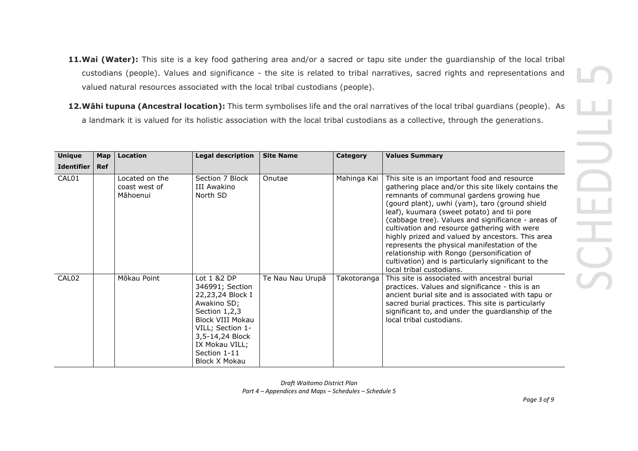- **11.Wai (Water):** This site is a key food gathering area and/or a sacred or tapu site under the guardianship of the local tribal custodians (people). Values and significance - the site is related to tribal narratives, sacred rights and representations and valued natural resources associated with the local tribal custodians (people).
- **12.Wāhi tupuna (Ancestral location):** This term symbolises life and the oral narratives of the local tribal guardians (people). As a landmark it is valued for its holistic association with the local tribal custodians as a collective, through the generations.

| <b>Unique</b>     | Map        | <b>Location</b>                             | <b>Legal description</b>                                                                                                                                                                         | <b>Site Name</b> | Category    | <b>Values Summary</b>                                                                                                                                                                                                                                                                                                                                                                                                                                                                                                                                                                       |
|-------------------|------------|---------------------------------------------|--------------------------------------------------------------------------------------------------------------------------------------------------------------------------------------------------|------------------|-------------|---------------------------------------------------------------------------------------------------------------------------------------------------------------------------------------------------------------------------------------------------------------------------------------------------------------------------------------------------------------------------------------------------------------------------------------------------------------------------------------------------------------------------------------------------------------------------------------------|
| <b>Identifier</b> | <b>Ref</b> |                                             |                                                                                                                                                                                                  |                  |             |                                                                                                                                                                                                                                                                                                                                                                                                                                                                                                                                                                                             |
| CAL01             |            | Located on the<br>coast west of<br>Māhoenui | Section 7 Block<br>III Awakino<br>North SD                                                                                                                                                       | Onutae           | Mahinga Kai | This site is an important food and resource<br>gathering place and/or this site likely contains the<br>remnants of communal gardens growing hue<br>(gourd plant), uwhi (yam), taro (ground shield<br>leaf), kuumara (sweet potato) and tii pore<br>(cabbage tree). Values and significance - areas of<br>cultivation and resource gathering with were<br>highly prized and valued by ancestors. This area<br>represents the physical manifestation of the<br>relationship with Rongo (personification of<br>cultivation) and is particularly significant to the<br>local tribal custodians. |
| CAL <sub>02</sub> |            | Mōkau Point                                 | Lot 1 &2 DP<br>346991; Section<br>22,23,24 Block I<br>Awakino SD;<br>Section 1,2,3<br>Block VIII Mokau<br>VILL; Section 1-<br>3,5-14,24 Block<br>IX Mokau VILL;<br>Section 1-11<br>Block X Mokau | Te Nau Nau Urupā | Takotoranga | This site is associated with ancestral burial<br>practices. Values and significance - this is an<br>ancient burial site and is associated with tapu or<br>sacred burial practices. This site is particularly<br>significant to, and under the guardianship of the<br>local tribal custodians.                                                                                                                                                                                                                                                                                               |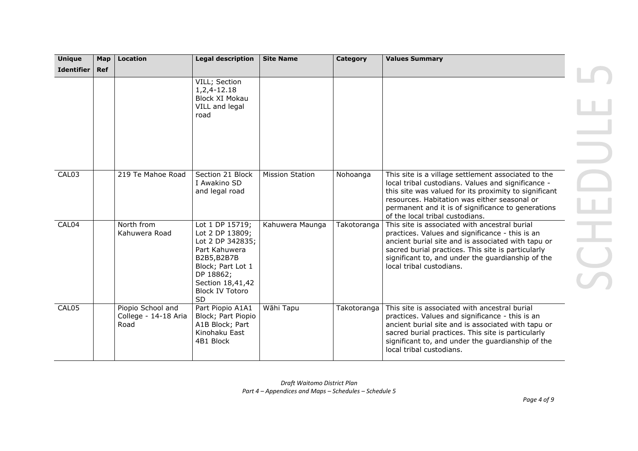| <b>Unique</b>     | Map | <b>Location</b>                                   | <b>Legal description</b>                                                                                                                                                            | <b>Site Name</b>       | Category    | <b>Values Summary</b>                                                                                                                                                                                                                                                                                       |  |
|-------------------|-----|---------------------------------------------------|-------------------------------------------------------------------------------------------------------------------------------------------------------------------------------------|------------------------|-------------|-------------------------------------------------------------------------------------------------------------------------------------------------------------------------------------------------------------------------------------------------------------------------------------------------------------|--|
| <b>Identifier</b> | Ref |                                                   |                                                                                                                                                                                     |                        |             |                                                                                                                                                                                                                                                                                                             |  |
|                   |     |                                                   | VILL; Section<br>1,2,4-12.18<br>Block XI Mokau<br>VILL and legal<br>road                                                                                                            |                        |             |                                                                                                                                                                                                                                                                                                             |  |
| CAL03             |     | 219 Te Mahoe Road                                 | Section 21 Block<br>I Awakino SD<br>and legal road                                                                                                                                  | <b>Mission Station</b> | Nohoanga    | This site is a village settlement associated to the<br>local tribal custodians. Values and significance -<br>this site was valued for its proximity to significant<br>resources. Habitation was either seasonal or<br>permanent and it is of significance to generations<br>of the local tribal custodians. |  |
| CAL04             |     | North from<br>Kahuwera Road                       | Lot 1 DP 15719;<br>Lot 2 DP 13809;<br>Lot 2 DP 342835;<br>Part Kahuwera<br>B2B5, B2B7B<br>Block; Part Lot 1<br>DP 18862;<br>Section 18,41,42<br><b>Block IV Totoro</b><br><b>SD</b> | Kahuwera Maunga        | Takotoranga | This site is associated with ancestral burial<br>practices. Values and significance - this is an<br>ancient burial site and is associated with tapu or<br>sacred burial practices. This site is particularly<br>significant to, and under the guardianship of the<br>local tribal custodians.               |  |
| CAL05             |     | Piopio School and<br>College - 14-18 Aria<br>Road | Part Piopio A1A1<br>Block; Part Piopio<br>A1B Block; Part<br>Kinohaku East<br>4B1 Block                                                                                             | Wāhi Tapu              | Takotoranga | This site is associated with ancestral burial<br>practices. Values and significance - this is an<br>ancient burial site and is associated with tapu or<br>sacred burial practices. This site is particularly<br>significant to, and under the guardianship of the<br>local tribal custodians.               |  |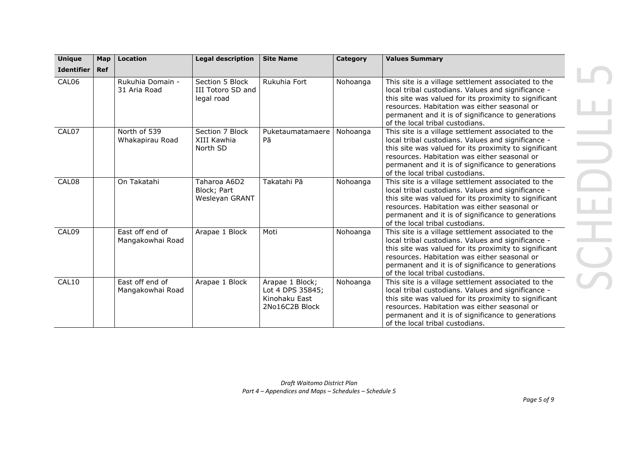| <b>Unique</b>     | Map        | Location                            | <b>Legal description</b>                           | <b>Site Name</b>                                                       | Category | <b>Values Summary</b>                                                                                                                                                                                                                                                                                       |
|-------------------|------------|-------------------------------------|----------------------------------------------------|------------------------------------------------------------------------|----------|-------------------------------------------------------------------------------------------------------------------------------------------------------------------------------------------------------------------------------------------------------------------------------------------------------------|
| <b>Identifier</b> | <b>Ref</b> |                                     |                                                    |                                                                        |          |                                                                                                                                                                                                                                                                                                             |
| CAL06             |            | Rukuhia Domain -<br>31 Aria Road    | Section 5 Block<br>III Totoro SD and<br>legal road | Rukuhia Fort                                                           | Nohoanga | This site is a village settlement associated to the<br>local tribal custodians. Values and significance -<br>this site was valued for its proximity to significant<br>resources. Habitation was either seasonal or<br>permanent and it is of significance to generations<br>of the local tribal custodians. |
| CAL07             |            | North of 539<br>Whakapirau Road     | Section 7 Block<br>XIII Kawhia<br>North SD         | Puketaumatamaere<br>Pā                                                 | Nohoanga | This site is a village settlement associated to the<br>local tribal custodians. Values and significance -<br>this site was valued for its proximity to significant<br>resources. Habitation was either seasonal or<br>permanent and it is of significance to generations<br>of the local tribal custodians. |
| CAL08             |            | On Takatahi                         | Taharoa A6D2<br>Block; Part<br>Wesleyan GRANT      | Takatahi Pā                                                            | Nohoanga | This site is a village settlement associated to the<br>local tribal custodians. Values and significance -<br>this site was valued for its proximity to significant<br>resources. Habitation was either seasonal or<br>permanent and it is of significance to generations<br>of the local tribal custodians. |
| CAL09             |            | East off end of<br>Mangakowhai Road | Arapae 1 Block                                     | Moti                                                                   | Nohoanga | This site is a village settlement associated to the<br>local tribal custodians. Values and significance -<br>this site was valued for its proximity to significant<br>resources. Habitation was either seasonal or<br>permanent and it is of significance to generations<br>of the local tribal custodians. |
| CAL10             |            | East off end of<br>Mangakowhai Road | Arapae 1 Block                                     | Arapae 1 Block;<br>Lot 4 DPS 35845;<br>Kinohaku East<br>2No16C2B Block | Nohoanga | This site is a village settlement associated to the<br>local tribal custodians. Values and significance -<br>this site was valued for its proximity to significant<br>resources. Habitation was either seasonal or<br>permanent and it is of significance to generations<br>of the local tribal custodians. |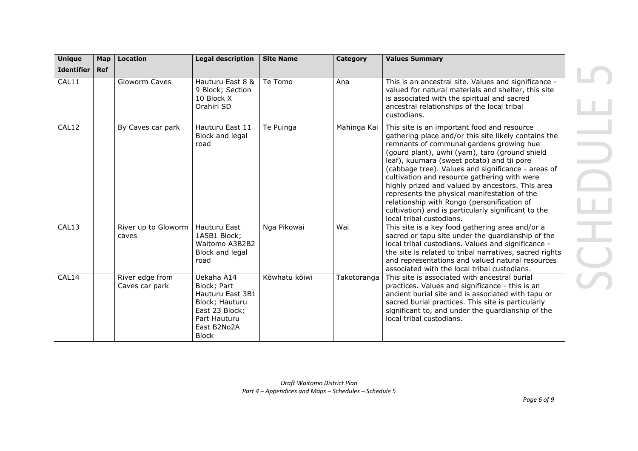| <b>Unique</b>     | Map        | <b>Location</b>                   | <b>Legal description</b>                                                                                                         | <b>Site Name</b> | Category    | <b>Values Summary</b>                                                                                                                                                                                                                                                                                                                                                                                                                                                                                                                                                                       |
|-------------------|------------|-----------------------------------|----------------------------------------------------------------------------------------------------------------------------------|------------------|-------------|---------------------------------------------------------------------------------------------------------------------------------------------------------------------------------------------------------------------------------------------------------------------------------------------------------------------------------------------------------------------------------------------------------------------------------------------------------------------------------------------------------------------------------------------------------------------------------------------|
| <b>Identifier</b> | <b>Ref</b> |                                   |                                                                                                                                  |                  |             |                                                                                                                                                                                                                                                                                                                                                                                                                                                                                                                                                                                             |
| CAL11             |            | Gloworm Caves                     | Hauturu East 8 &<br>9 Block; Section<br>10 Block X<br>Orahiri SD                                                                 | Te Tomo          | Ana         | This is an ancestral site. Values and significance -<br>valued for natural materials and shelter, this site<br>is associated with the spiritual and sacred<br>ancestral relationships of the local tribal<br>custodians.                                                                                                                                                                                                                                                                                                                                                                    |
| CAL12             |            | By Caves car park                 | Hauturu East 11<br>Block and legal<br>road                                                                                       | Te Puinga        | Mahinga Kai | This site is an important food and resource<br>gathering place and/or this site likely contains the<br>remnants of communal gardens growing hue<br>(gourd plant), uwhi (yam), taro (ground shield<br>leaf), kuumara (sweet potato) and tii pore<br>(cabbage tree). Values and significance - areas of<br>cultivation and resource gathering with were<br>highly prized and valued by ancestors. This area<br>represents the physical manifestation of the<br>relationship with Rongo (personification of<br>cultivation) and is particularly significant to the<br>local tribal custodians. |
| CAL13             |            | River up to Gloworm<br>caves      | Hauturu East<br>1A5B1 Block;<br>Waitomo A3B2B2<br>Block and legal<br>road                                                        | Nga Pikowai      | Wai         | This site is a key food gathering area and/or a<br>sacred or tapu site under the guardianship of the<br>local tribal custodians. Values and significance -<br>the site is related to tribal narratives, sacred rights<br>and representations and valued natural resources<br>associated with the local tribal custodians.                                                                                                                                                                                                                                                                   |
| CAL14             |            | River edge from<br>Caves car park | Uekaha A14<br>Block; Part<br>Hauturu East 3B1<br>Block; Hauturu<br>East 23 Block;<br>Part Hauturu<br>East B2No2A<br><b>Block</b> | Kōwhatu kōiwi    | Takotoranga | This site is associated with ancestral burial<br>practices. Values and significance - this is an<br>ancient burial site and is associated with tapu or<br>sacred burial practices. This site is particularly<br>significant to, and under the guardianship of the<br>local tribal custodians.                                                                                                                                                                                                                                                                                               |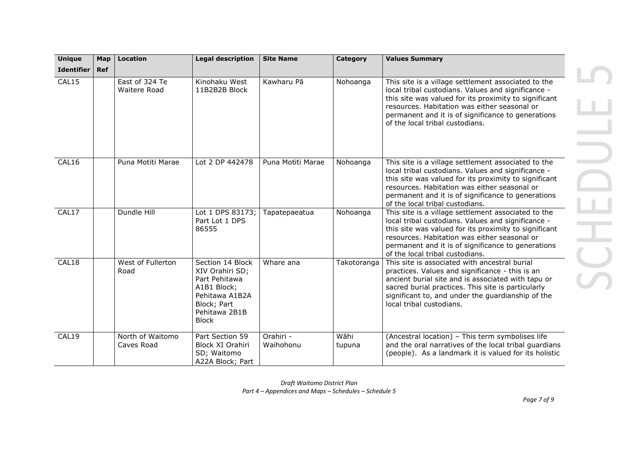| <b>Unique</b>     | Map        | <b>Location</b>                | <b>Legal description</b>                                                                                                              | <b>Site Name</b>       | Category       | <b>Values Summary</b>                                                                                                                                                                                                                                                                                       |
|-------------------|------------|--------------------------------|---------------------------------------------------------------------------------------------------------------------------------------|------------------------|----------------|-------------------------------------------------------------------------------------------------------------------------------------------------------------------------------------------------------------------------------------------------------------------------------------------------------------|
| <b>Identifier</b> | <b>Ref</b> |                                |                                                                                                                                       |                        |                |                                                                                                                                                                                                                                                                                                             |
| CAL15             |            | East of 324 Te<br>Waitere Road | Kinohaku West<br>11B2B2B Block                                                                                                        | Kawharu Pā             | Nohoanga       | This site is a village settlement associated to the<br>local tribal custodians. Values and significance -<br>this site was valued for its proximity to significant<br>resources. Habitation was either seasonal or<br>permanent and it is of significance to generations<br>of the local tribal custodians. |
| CAL16             |            | Puna Motiti Marae              | Lot 2 DP 442478                                                                                                                       | Puna Motiti Marae      | Nohoanga       | This site is a village settlement associated to the<br>local tribal custodians. Values and significance -<br>this site was valued for its proximity to significant<br>resources. Habitation was either seasonal or<br>permanent and it is of significance to generations<br>of the local tribal custodians. |
| CAL17             |            | Dundle Hill                    | Lot 1 DPS 83173;<br>Part Lot 1 DPS<br>86555                                                                                           | Tapatepaeatua          | Nohoanga       | This site is a village settlement associated to the<br>local tribal custodians. Values and significance -<br>this site was valued for its proximity to significant<br>resources. Habitation was either seasonal or<br>permanent and it is of significance to generations<br>of the local tribal custodians. |
| CAL18             |            | West of Fullerton<br>Road      | Section 14 Block<br>XIV Orahiri SD;<br>Part Pehitawa<br>A1B1 Block;<br>Pehitawa A1B2A<br>Block; Part<br>Pehitawa 2B1B<br><b>Block</b> | Whare ana              | Takotoranga    | This site is associated with ancestral burial<br>practices. Values and significance - this is an<br>ancient burial site and is associated with tapu or<br>sacred burial practices. This site is particularly<br>significant to, and under the guardianship of the<br>local tribal custodians.               |
| CAL19             |            | North of Waitomo<br>Caves Road | Part Section 59<br>Block XI Orahiri<br>SD; Waitomo<br>A22A Block; Part                                                                | Orahiri -<br>Waihohonu | Wāhi<br>tupuna | (Ancestral location) - This term symbolises life<br>and the oral narratives of the local tribal guardians<br>(people). As a landmark it is valued for its holistic                                                                                                                                          |

*Draft Waitomo District Plan Part 4 – Appendices and Maps – Schedules – Schedule 5*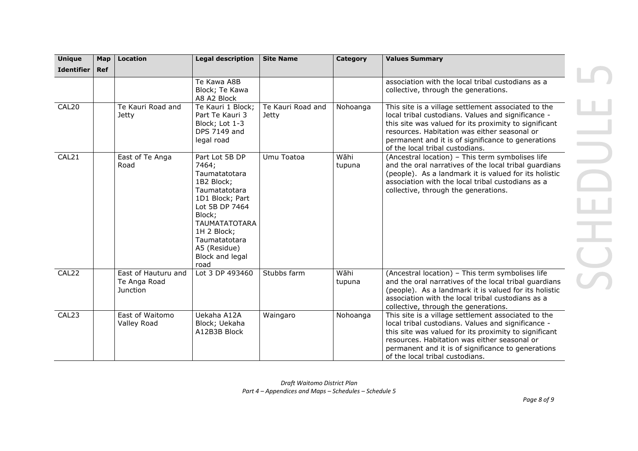| <b>Unique</b>     | Map | <b>Location</b>                                        | <b>Legal description</b>                                                                                                                                                                                                  | <b>Site Name</b>                  | <b>Category</b> | <b>Values Summary</b>                                                                                                                                                                                                                                                                                       |
|-------------------|-----|--------------------------------------------------------|---------------------------------------------------------------------------------------------------------------------------------------------------------------------------------------------------------------------------|-----------------------------------|-----------------|-------------------------------------------------------------------------------------------------------------------------------------------------------------------------------------------------------------------------------------------------------------------------------------------------------------|
| <b>Identifier</b> | Ref |                                                        |                                                                                                                                                                                                                           |                                   |                 |                                                                                                                                                                                                                                                                                                             |
|                   |     |                                                        | Te Kawa A8B<br>Block; Te Kawa<br>A8 A2 Block                                                                                                                                                                              |                                   |                 | association with the local tribal custodians as a<br>collective, through the generations.                                                                                                                                                                                                                   |
| CAL <sub>20</sub> |     | Te Kauri Road and<br><b>Jetty</b>                      | Te Kauri 1 Block;<br>Part Te Kauri 3<br>Block; Lot 1-3<br>DPS 7149 and<br>legal road                                                                                                                                      | Te Kauri Road and<br><b>Jetty</b> | Nohoanga        | This site is a village settlement associated to the<br>local tribal custodians. Values and significance -<br>this site was valued for its proximity to significant<br>resources. Habitation was either seasonal or<br>permanent and it is of significance to generations<br>of the local tribal custodians. |
| CAL21             |     | East of Te Anga<br>Road                                | Part Lot 5B DP<br>7464;<br>Taumatatotara<br>1B2 Block;<br>Taumatatotara<br>1D1 Block; Part<br>Lot 5B DP 7464<br>Block;<br><b>TAUMATATOTARA</b><br>1H 2 Block;<br>Taumatatotara<br>A5 (Residue)<br>Block and legal<br>road | Umu Toatoa                        | Wāhi<br>tupuna  | (Ancestral location) - This term symbolises life<br>and the oral narratives of the local tribal guardians<br>(people). As a landmark it is valued for its holistic<br>association with the local tribal custodians as a<br>collective, through the generations.                                             |
| CAL22             |     | East of Hauturu and<br>Te Anga Road<br><b>Junction</b> | Lot 3 DP 493460                                                                                                                                                                                                           | Stubbs farm                       | Wāhi<br>tupuna  | (Ancestral location) - This term symbolises life<br>and the oral narratives of the local tribal quardians<br>(people). As a landmark it is valued for its holistic<br>association with the local tribal custodians as a<br>collective, through the generations.                                             |
| CAL23             |     | East of Waitomo<br>Valley Road                         | Uekaha A12A<br>Block; Uekaha<br>A12B3B Block                                                                                                                                                                              | Waingaro                          | Nohoanga        | This site is a village settlement associated to the<br>local tribal custodians. Values and significance -<br>this site was valued for its proximity to significant<br>resources. Habitation was either seasonal or<br>permanent and it is of significance to generations<br>of the local tribal custodians. |